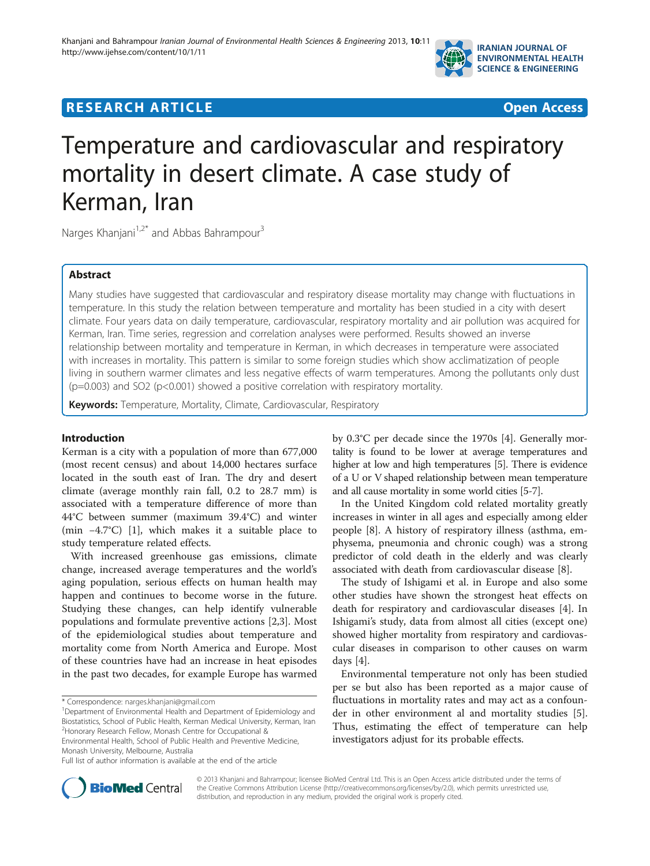

## **RESEARCH ARTICLE Example 2008 12 Open Access**



# Temperature and cardiovascular and respiratory mortality in desert climate. A case study of Kerman, Iran

Narges Khanjani<sup>1,2\*</sup> and Abbas Bahrampour<sup>3</sup>

## Abstract

Many studies have suggested that cardiovascular and respiratory disease mortality may change with fluctuations in temperature. In this study the relation between temperature and mortality has been studied in a city with desert climate. Four years data on daily temperature, cardiovascular, respiratory mortality and air pollution was acquired for Kerman, Iran. Time series, regression and correlation analyses were performed. Results showed an inverse relationship between mortality and temperature in Kerman, in which decreases in temperature were associated with increases in mortality. This pattern is similar to some foreign studies which show acclimatization of people living in southern warmer climates and less negative effects of warm temperatures. Among the pollutants only dust (p=0.003) and SO2 (p<0.001) showed a positive correlation with respiratory mortality.

Keywords: Temperature, Mortality, Climate, Cardiovascular, Respiratory

## Introduction

Kerman is a city with a population of more than 677,000 (most recent census) and about 14,000 hectares surface located in the south east of Iran. The dry and desert climate (average monthly rain fall, 0.2 to 28.7 mm) is associated with a temperature difference of more than 44°C between summer (maximum 39.4°C) and winter (min −4.7°C) [1], which makes it a suitable place to study temperature related effects.

With increased greenhouse gas emissions, climate change, increased average temperatures and the world's aging population, serious effects on human health may happen and continues to become worse in the future. Studying these changes, can help identify vulnerable populations and formulate preventive actions [2,3]. Most of the epidemiological studies about temperature and mortality come from North America and Europe. Most of these countries have had an increase in heat episodes in the past two decades, for example Europe has warmed

Monash University, Melbourne, Australia

by 0.3°C per decade since the 1970s [4]. Generally mortality is found to be lower at average temperatures and higher at low and high temperatures [5]. There is evidence of a U or V shaped relationship between mean temperature and all cause mortality in some world cities [5-7].

In the United Kingdom cold related mortality greatly increases in winter in all ages and especially among elder people [8]. A history of respiratory illness (asthma, emphysema, pneumonia and chronic cough) was a strong predictor of cold death in the elderly and was clearly associated with death from cardiovascular disease [8].

The study of Ishigami et al. in Europe and also some other studies have shown the strongest heat effects on death for respiratory and cardiovascular diseases [4]. In Ishigami's study, data from almost all cities (except one) showed higher mortality from respiratory and cardiovascular diseases in comparison to other causes on warm days [4].

Environmental temperature not only has been studied per se but also has been reported as a major cause of fluctuations in mortality rates and may act as a confounder in other environment al and mortality studies [5]. Thus, estimating the effect of temperature can help investigators adjust for its probable effects.



© 2013 Khanjani and Bahrampour; licensee BioMed Central Ltd. This is an Open Access article distributed under the terms of the Creative Commons Attribution License (http://creativecommons.org/licenses/by/2.0), which permits unrestricted use, distribution, and reproduction in any medium, provided the original work is properly cited.

<sup>\*</sup> Correspondence: narges.khanjani@gmail.com <sup>1</sup>

<sup>&</sup>lt;sup>1</sup>Department of Environmental Health and Department of Epidemiology and Biostatistics, School of Public Health, Kerman Medical University, Kerman, Iran <sup>2</sup> Honorary Research Fellow, Monash Centre for Occupational & Environmental Health, School of Public Health and Preventive Medicine,

Full list of author information is available at the end of the article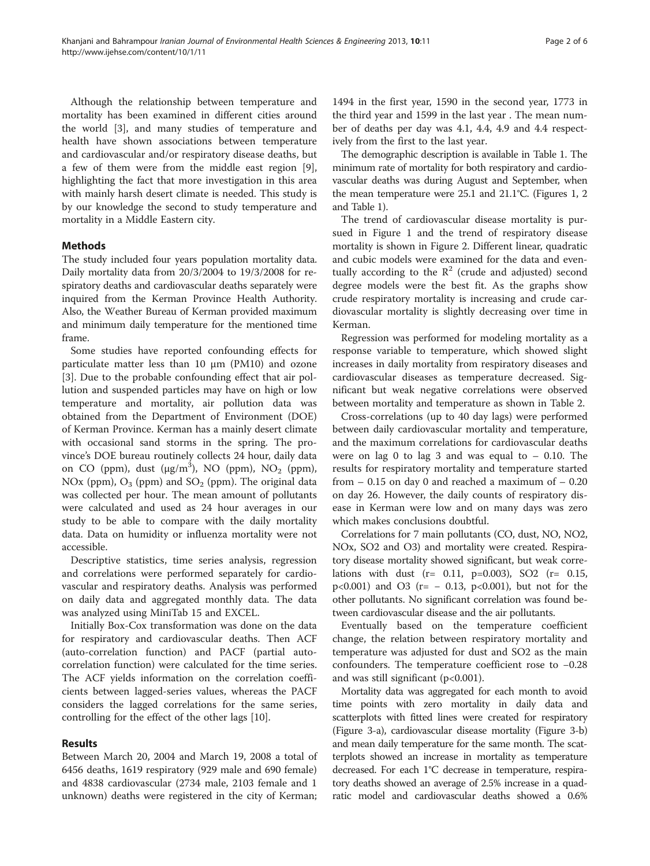Although the relationship between temperature and mortality has been examined in different cities around

the world [3], and many studies of temperature and health have shown associations between temperature and cardiovascular and/or respiratory disease deaths, but a few of them were from the middle east region [9], highlighting the fact that more investigation in this area with mainly harsh desert climate is needed. This study is by our knowledge the second to study temperature and mortality in a Middle Eastern city.

## Methods

The study included four years population mortality data. Daily mortality data from 20/3/2004 to 19/3/2008 for respiratory deaths and cardiovascular deaths separately were inquired from the Kerman Province Health Authority. Also, the Weather Bureau of Kerman provided maximum and minimum daily temperature for the mentioned time frame.

Some studies have reported confounding effects for particulate matter less than 10 μm (PM10) and ozone [3]. Due to the probable confounding effect that air pollution and suspended particles may have on high or low temperature and mortality, air pollution data was obtained from the Department of Environment (DOE) of Kerman Province. Kerman has a mainly desert climate with occasional sand storms in the spring. The province's DOE bureau routinely collects 24 hour, daily data on CO (ppm), dust ( $\mu$ g/m<sup>3</sup>), NO (ppm), NO<sub>2</sub> (ppm), NOx (ppm),  $O_3$  (ppm) and  $SO_2$  (ppm). The original data was collected per hour. The mean amount of pollutants were calculated and used as 24 hour averages in our study to be able to compare with the daily mortality data. Data on humidity or influenza mortality were not accessible.

Descriptive statistics, time series analysis, regression and correlations were performed separately for cardiovascular and respiratory deaths. Analysis was performed on daily data and aggregated monthly data. The data was analyzed using MiniTab 15 and EXCEL.

Initially Box-Cox transformation was done on the data for respiratory and cardiovascular deaths. Then ACF (auto-correlation function) and PACF (partial autocorrelation function) were calculated for the time series. The ACF yields information on the correlation coefficients between lagged-series values, whereas the PACF considers the lagged correlations for the same series, controlling for the effect of the other lags [10].

## Results

Between March 20, 2004 and March 19, 2008 a total of 6456 deaths, 1619 respiratory (929 male and 690 female) and 4838 cardiovascular (2734 male, 2103 female and 1 unknown) deaths were registered in the city of Kerman;

1494 in the first year, 1590 in the second year, 1773 in the third year and 1599 in the last year . The mean number of deaths per day was 4.1, 4.4, 4.9 and 4.4 respectively from the first to the last year.

The demographic description is available in Table 1. The minimum rate of mortality for both respiratory and cardiovascular deaths was during August and September, when the mean temperature were 25.1 and 21.1°C. (Figures 1, 2 and Table 1).

The trend of cardiovascular disease mortality is pursued in Figure 1 and the trend of respiratory disease mortality is shown in Figure 2. Different linear, quadratic and cubic models were examined for the data and eventually according to the  $R^2$  (crude and adjusted) second degree models were the best fit. As the graphs show crude respiratory mortality is increasing and crude cardiovascular mortality is slightly decreasing over time in Kerman.

Regression was performed for modeling mortality as a response variable to temperature, which showed slight increases in daily mortality from respiratory diseases and cardiovascular diseases as temperature decreased. Significant but weak negative correlations were observed between mortality and temperature as shown in Table 2.

Cross-correlations (up to 40 day lags) were performed between daily cardiovascular mortality and temperature, and the maximum correlations for cardiovascular deaths were on lag 0 to lag 3 and was equal to  $-$  0.10. The results for respiratory mortality and temperature started from  $-0.15$  on day 0 and reached a maximum of  $-0.20$ on day 26. However, the daily counts of respiratory disease in Kerman were low and on many days was zero which makes conclusions doubtful.

Correlations for 7 main pollutants (CO, dust, NO, NO2, NOx, SO2 and O3) and mortality were created. Respiratory disease mortality showed significant, but weak correlations with dust  $(r= 0.11, p=0.003)$ , SO2  $(r= 0.15,$  $p<0.001$ ) and O3 (r= - 0.13,  $p<0.001$ ), but not for the other pollutants. No significant correlation was found between cardiovascular disease and the air pollutants.

Eventually based on the temperature coefficient change, the relation between respiratory mortality and temperature was adjusted for dust and SO2 as the main confounders. The temperature coefficient rose to −0.28 and was still significant (p<0.001).

Mortality data was aggregated for each month to avoid time points with zero mortality in daily data and scatterplots with fitted lines were created for respiratory (Figure 3-a), cardiovascular disease mortality (Figure 3-b) and mean daily temperature for the same month. The scatterplots showed an increase in mortality as temperature decreased. For each 1°C decrease in temperature, respiratory deaths showed an average of 2.5% increase in a quadratic model and cardiovascular deaths showed a 0.6%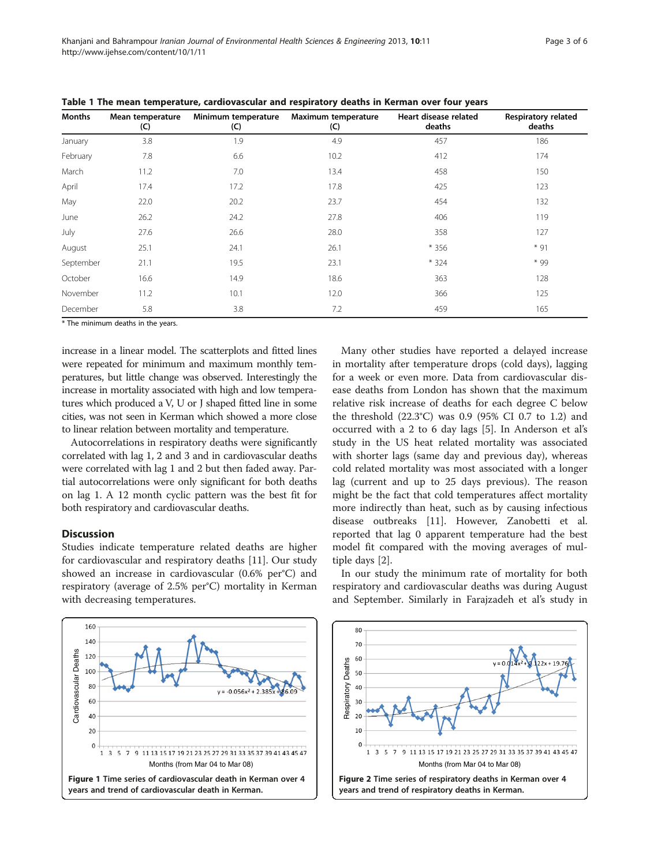| <b>Months</b> | Mean temperature<br>(C) | Minimum temperature<br>(C) | Maximum temperature<br>(C) | Heart disease related<br>deaths | Respiratory related<br>deaths |
|---------------|-------------------------|----------------------------|----------------------------|---------------------------------|-------------------------------|
| January       | 3.8                     | 1.9                        | 4.9                        | 457                             | 186                           |
| February      | 7.8                     | 6.6                        | 10.2                       | 412                             | 174                           |
| March         | 11.2                    | 7.0                        | 13.4                       | 458                             | 150                           |
| April         | 17.4                    | 17.2                       | 17.8                       | 425                             | 123                           |
| May           | 22.0                    | 20.2                       | 23.7                       | 454                             | 132                           |
| June          | 26.2                    | 24.2                       | 27.8                       | 406                             | 119                           |
| July          | 27.6                    | 26.6                       | 28.0                       | 358                             | 127                           |
| August        | 25.1                    | 24.1                       | 26.1                       | * 356                           | $*91$                         |
| September     | 21.1                    | 19.5                       | 23.1                       | * 324                           | * 99                          |
| October       | 16.6                    | 14.9                       | 18.6                       | 363                             | 128                           |
| November      | 11.2                    | 10.1                       | 12.0                       | 366                             | 125                           |
| December      | 5.8                     | 3.8                        | 7.2                        | 459                             | 165                           |

Table 1 The mean temperature, cardiovascular and respiratory deaths in Kerman over four years

\* The minimum deaths in the years.

increase in a linear model. The scatterplots and fitted lines were repeated for minimum and maximum monthly temperatures, but little change was observed. Interestingly the increase in mortality associated with high and low temperatures which produced a V, U or J shaped fitted line in some cities, was not seen in Kerman which showed a more close to linear relation between mortality and temperature.

Autocorrelations in respiratory deaths were significantly correlated with lag 1, 2 and 3 and in cardiovascular deaths were correlated with lag 1 and 2 but then faded away. Partial autocorrelations were only significant for both deaths on lag 1. A 12 month cyclic pattern was the best fit for both respiratory and cardiovascular deaths.

## **Discussion**

Studies indicate temperature related deaths are higher for cardiovascular and respiratory deaths [11]. Our study showed an increase in cardiovascular (0.6% per°C) and respiratory (average of 2.5% per°C) mortality in Kerman with decreasing temperatures.

in mortality after temperature drops (cold days), lagging for a week or even more. Data from cardiovascular disease deaths from London has shown that the maximum relative risk increase of deaths for each degree C below the threshold (22.3°C) was 0.9 (95% CI 0.7 to 1.2) and occurred with a 2 to 6 day lags [5]. In Anderson et al's study in the US heat related mortality was associated with shorter lags (same day and previous day), whereas cold related mortality was most associated with a longer lag (current and up to 25 days previous). The reason might be the fact that cold temperatures affect mortality more indirectly than heat, such as by causing infectious disease outbreaks [11]. However, Zanobetti et al. reported that lag 0 apparent temperature had the best model fit compared with the moving averages of multiple days [2].

Many other studies have reported a delayed increase

In our study the minimum rate of mortality for both respiratory and cardiovascular deaths was during August and September. Similarly in Farajzadeh et al's study in



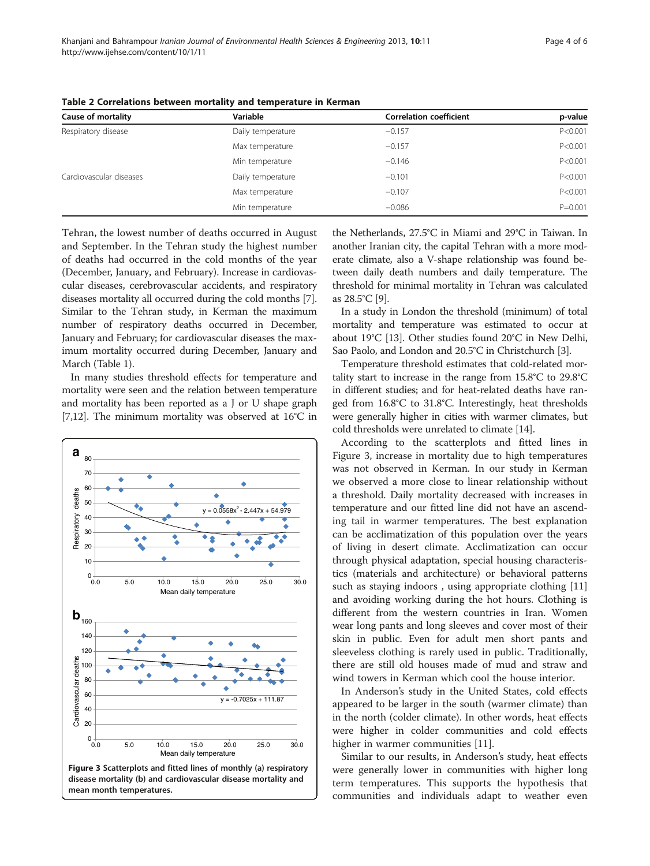| Cause of mortality      | Variable          | <b>Correlation coefficient</b> | p-value     |
|-------------------------|-------------------|--------------------------------|-------------|
| Respiratory disease     | Daily temperature | $-0.157$                       | P < 0.001   |
|                         | Max temperature   | $-0.157$                       | P < 0.001   |
|                         | Min temperature   | $-0.146$                       | P < 0.001   |
| Cardiovascular diseases | Daily temperature | $-0.101$                       | P < 0.001   |
|                         | Max temperature   | $-0.107$                       | P < 0.001   |
|                         | Min temperature   | $-0.086$                       | $P = 0.001$ |

Table 2 Correlations between mortality and temperature in Kerman

Tehran, the lowest number of deaths occurred in August and September. In the Tehran study the highest number of deaths had occurred in the cold months of the year (December, January, and February). Increase in cardiovascular diseases, cerebrovascular accidents, and respiratory diseases mortality all occurred during the cold months [7]. Similar to the Tehran study, in Kerman the maximum number of respiratory deaths occurred in December, January and February; for cardiovascular diseases the maximum mortality occurred during December, January and March (Table 1).

In many studies threshold effects for temperature and mortality were seen and the relation between temperature and mortality has been reported as a J or U shape graph [7,12]. The minimum mortality was observed at 16°C in



the Netherlands, 27.5°C in Miami and 29°C in Taiwan. In another Iranian city, the capital Tehran with a more moderate climate, also a V-shape relationship was found between daily death numbers and daily temperature. The threshold for minimal mortality in Tehran was calculated as 28.5°C [9].

In a study in London the threshold (minimum) of total mortality and temperature was estimated to occur at about 19°C [13]. Other studies found 20°C in New Delhi, Sao Paolo, and London and 20.5°C in Christchurch [3].

Temperature threshold estimates that cold-related mortality start to increase in the range from 15.8°C to 29.8°C in different studies; and for heat-related deaths have ranged from 16.8°C to 31.8°C. Interestingly, heat thresholds were generally higher in cities with warmer climates, but cold thresholds were unrelated to climate [14].

According to the scatterplots and fitted lines in Figure 3, increase in mortality due to high temperatures was not observed in Kerman. In our study in Kerman we observed a more close to linear relationship without a threshold. Daily mortality decreased with increases in temperature and our fitted line did not have an ascending tail in warmer temperatures. The best explanation can be acclimatization of this population over the years of living in desert climate. Acclimatization can occur through physical adaptation, special housing characteristics (materials and architecture) or behavioral patterns such as staying indoors, using appropriate clothing [11] and avoiding working during the hot hours. Clothing is different from the western countries in Iran. Women wear long pants and long sleeves and cover most of their skin in public. Even for adult men short pants and sleeveless clothing is rarely used in public. Traditionally, there are still old houses made of mud and straw and wind towers in Kerman which cool the house interior.

In Anderson's study in the United States, cold effects appeared to be larger in the south (warmer climate) than in the north (colder climate). In other words, heat effects were higher in colder communities and cold effects higher in warmer communities [11].

Similar to our results, in Anderson's study, heat effects were generally lower in communities with higher long term temperatures. This supports the hypothesis that communities and individuals adapt to weather even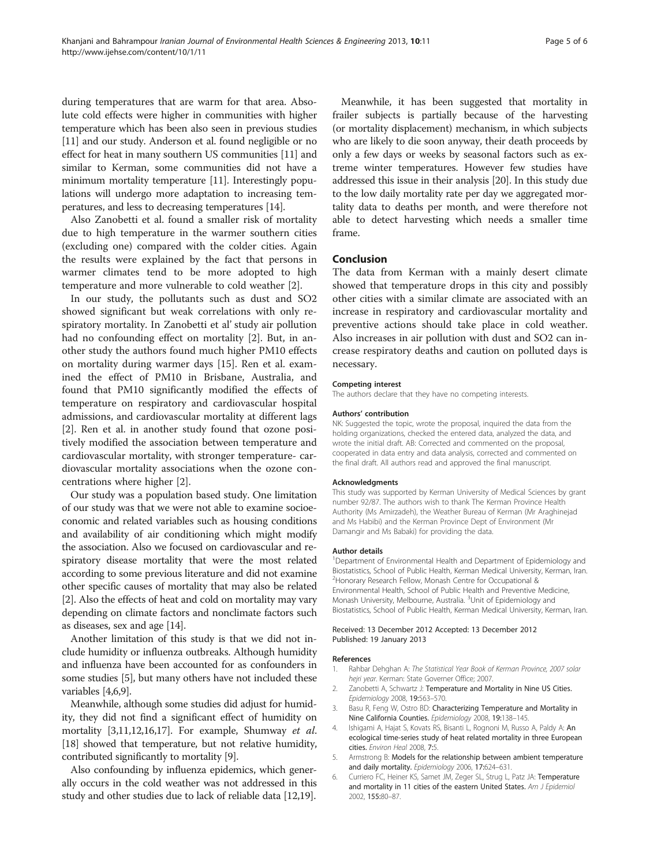during temperatures that are warm for that area. Absolute cold effects were higher in communities with higher temperature which has been also seen in previous studies [11] and our study. Anderson et al. found negligible or no effect for heat in many southern US communities [11] and similar to Kerman, some communities did not have a minimum mortality temperature [11]. Interestingly populations will undergo more adaptation to increasing temperatures, and less to decreasing temperatures [14].

Also Zanobetti et al. found a smaller risk of mortality due to high temperature in the warmer southern cities (excluding one) compared with the colder cities. Again the results were explained by the fact that persons in warmer climates tend to be more adopted to high temperature and more vulnerable to cold weather [2].

In our study, the pollutants such as dust and SO2 showed significant but weak correlations with only respiratory mortality. In Zanobetti et al' study air pollution had no confounding effect on mortality [2]. But, in another study the authors found much higher PM10 effects on mortality during warmer days [15]. Ren et al. examined the effect of PM10 in Brisbane, Australia, and found that PM10 significantly modified the effects of temperature on respiratory and cardiovascular hospital admissions, and cardiovascular mortality at different lags [2]. Ren et al. in another study found that ozone positively modified the association between temperature and cardiovascular mortality, with stronger temperature- cardiovascular mortality associations when the ozone concentrations where higher [2].

Our study was a population based study. One limitation of our study was that we were not able to examine socioeconomic and related variables such as housing conditions and availability of air conditioning which might modify the association. Also we focused on cardiovascular and respiratory disease mortality that were the most related according to some previous literature and did not examine other specific causes of mortality that may also be related [2]. Also the effects of heat and cold on mortality may vary depending on climate factors and nonclimate factors such as diseases, sex and age [14].

Another limitation of this study is that we did not include humidity or influenza outbreaks. Although humidity and influenza have been accounted for as confounders in some studies [5], but many others have not included these variables [4,6,9].

Meanwhile, although some studies did adjust for humidity, they did not find a significant effect of humidity on mortality [3,11,12,16,17]. For example, Shumway et al. [18] showed that temperature, but not relative humidity, contributed significantly to mortality [9].

Also confounding by influenza epidemics, which generally occurs in the cold weather was not addressed in this study and other studies due to lack of reliable data [12,19].

Meanwhile, it has been suggested that mortality in frailer subjects is partially because of the harvesting (or mortality displacement) mechanism, in which subjects who are likely to die soon anyway, their death proceeds by only a few days or weeks by seasonal factors such as extreme winter temperatures. However few studies have addressed this issue in their analysis [20]. In this study due to the low daily mortality rate per day we aggregated mortality data to deaths per month, and were therefore not able to detect harvesting which needs a smaller time frame.

### Conclusion

The data from Kerman with a mainly desert climate showed that temperature drops in this city and possibly other cities with a similar climate are associated with an increase in respiratory and cardiovascular mortality and preventive actions should take place in cold weather. Also increases in air pollution with dust and SO2 can increase respiratory deaths and caution on polluted days is necessary.

#### Competing interest

The authors declare that they have no competing interests.

#### Authors' contribution

NK: Suggested the topic, wrote the proposal, inquired the data from the holding organizations, checked the entered data, analyzed the data, and wrote the initial draft. AB: Corrected and commented on the proposal, cooperated in data entry and data analysis, corrected and commented on the final draft. All authors read and approved the final manuscript.

#### Acknowledgments

This study was supported by Kerman University of Medical Sciences by grant number 92/87. The authors wish to thank The Kerman Province Health Authority (Ms Amirzadeh), the Weather Bureau of Kerman (Mr Araghinejad and Ms Habibi) and the Kerman Province Dept of Environment (Mr Damangir and Ms Babaki) for providing the data.

#### Author details

<sup>1</sup>Department of Environmental Health and Department of Epidemiology and Biostatistics, School of Public Health, Kerman Medical University, Kerman, Iran. 2 Honorary Research Fellow, Monash Centre for Occupational & Environmental Health, School of Public Health and Preventive Medicine, Monash University, Melbourne, Australia. <sup>3</sup>Unit of Epidemiology and Biostatistics, School of Public Health, Kerman Medical University, Kerman, Iran.

#### Received: 13 December 2012 Accepted: 13 December 2012 Published: 19 January 2013

#### References

- 1. Rahbar Dehghan A: The Statistical Year Book of Kerman Province, 2007 solar hejri year. Kerman: State Governer Office; 2007.
- 2. Zanobetti A, Schwartz J: Temperature and Mortality in Nine US Cities. Epidemiology 2008, 19:563–570.
- 3. Basu R, Feng W, Ostro BD: Characterizing Temperature and Mortality in Nine California Counties. Epidemiology 2008, 19:138–145.
- 4. Ishigami A, Hajat S, Kovats RS, Bisanti L, Rognoni M, Russo A, Paldy A: An ecological time-series study of heat related mortality in three European cities. Environ Heal 2008, 7:5.
- 5. Armstrong B: Models for the relationship between ambient temperature and daily mortality. Epidemiology 2006, 17:624–631.
- 6. Curriero FC, Heiner KS, Samet JM, Zeger SL, Strug L, Patz JA: Temperature and mortality in 11 cities of the eastern United States. Am J Epidemiol 2002, 155:80–87.